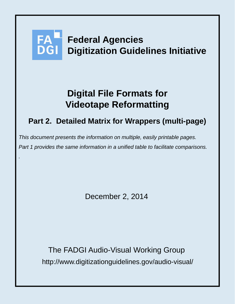# **Federal Agencies Digitization Guidelines Initiative**

# **Digital File Formats for Videotape Reformatting**

# **Part 2. Detailed Matrix for Wrappers (multi-page)**

*This document presents the information on multiple, easily printable pages. Part 1 provides the same information in a unified table to facilitate comparisons.* 

*.*

December 2, 2014

http://www.digitizationguidelines.gov/audio-visual/ The FADGI Audio-Visual Working Group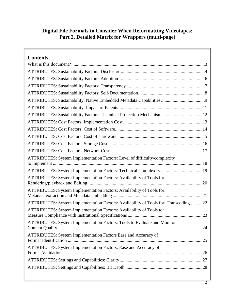# **Digital File Formats to Consider When Reformatting Videotapes: Part 2. Detailed Matrix for Wrappers (multi-page)**

| <b>Contents</b>                                                                     |
|-------------------------------------------------------------------------------------|
|                                                                                     |
|                                                                                     |
|                                                                                     |
|                                                                                     |
|                                                                                     |
|                                                                                     |
|                                                                                     |
| ATTRIBUTES: Sustainability Factors: Technical Protection Mechanisms12               |
|                                                                                     |
|                                                                                     |
|                                                                                     |
|                                                                                     |
|                                                                                     |
| ATTRIBUTES: System Implementation Factors: Level of difficulty/complexity           |
| ATTRIBUTES: System Implementation Factors: Technical Complexity 19                  |
| ATTRIBUTES: System Implementation Factors: Availability of Tools for:               |
|                                                                                     |
| ATTRIBUTES: System Implementation Factors: Availability of Tools for:               |
| ATTRIBUTES: System Implementation Factors: Availability of Tools for: Transcoding22 |
| ATTRIBUTES: System Implementation Factors: Availability of Tools to:                |
| ATTRIBUTES: System Implementation Factors: Tools to Evaluate and Monitor            |
| <b>ATTRIBUTES:</b> System Implementation Factors Ease and Accuracy of               |
| ATTRIBUTES: System Implementation Factors: Ease and Accuracy of                     |
|                                                                                     |
|                                                                                     |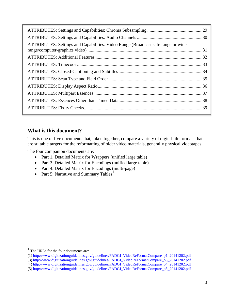| ATTRIBUTES: Settings and Capabilities: Video Range (Broadcast safe range or wide |  |
|----------------------------------------------------------------------------------|--|
|                                                                                  |  |
|                                                                                  |  |
|                                                                                  |  |
|                                                                                  |  |
|                                                                                  |  |
|                                                                                  |  |
|                                                                                  |  |
|                                                                                  |  |
|                                                                                  |  |

## <span id="page-2-0"></span>**What is this document?**

This is one of five documents that, taken together, compare a variety of digital file formats that are suitable targets for the reformatting of older video materials, generally physical videotapes.

The four companion documents are:

- Part 1. Detailed Matrix for Wrappers (unified large table)
- Part 3. Detailed Matrix for Encodings (unified large table)
- Part 4. Detailed Matrix for Encodings (multi-page)
- Part 5: Narrative and Summary Tables<sup>[1](#page-2-1)</sup>

 $\overline{a}$ 

<span id="page-2-1"></span> $<sup>1</sup>$  The URLs for the four documents are:</sup>

<sup>(1)</sup> http://www.digitizationguidelines.gov/guidelines/FADGI\_VideoReFormatCompare\_p1\_20141202.pdf

<sup>(3)</sup> http://www.digitizationguidelines.gov/guidelines/FADGI\_VideoReFormatCompare\_p3\_20141202.pdf

<sup>(4)</sup> http://www.digitizationguidelines.gov/guidelines/FADGI\_VideoReFormatCompare\_p4\_20141202.pdf

<sup>(5)</sup> http://www.digitizationguidelines.gov/guidelines/FADGI\_VideoReFormatCompare\_p5\_20141202.pdf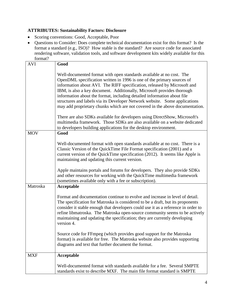#### <span id="page-3-0"></span>**ATTRIBUTES: Sustainability Factors: Disclosure**

- Scoring conventions: Good, Acceptable, Poor
- Questions to Consider: Does complete technical documentation exist for this format? Is the format a standard (e.g., ISO)? How stable is the standard? Are source code for associated rendering software, validation tools, and software development kits widely available for this format?

| rormat:    |                                                                                                                                                                                                                                                                                                                                                                                                                                                                                                                                               |
|------------|-----------------------------------------------------------------------------------------------------------------------------------------------------------------------------------------------------------------------------------------------------------------------------------------------------------------------------------------------------------------------------------------------------------------------------------------------------------------------------------------------------------------------------------------------|
| <b>AVI</b> | Good                                                                                                                                                                                                                                                                                                                                                                                                                                                                                                                                          |
|            | Well-documented format with open standards available at no cost. The<br>OpenDML specification written in 1996 is one of the primary sources of<br>information about AVI. The RIFF specification, released by Microsoft and<br>IBM, is also a key document. Additionally, Microsoft provides thorough<br>information about the format, including detailed information about file<br>structures and labels via its Developer Network website. Some applications<br>may add proprietary chunks which are not covered in the above documentation. |
|            | There are also SDKs available for developers using DirectShow, Microsoft's<br>multimedia framework. Those SDKs are also available on a website dedicated<br>to developers building applications for the desktop environment.                                                                                                                                                                                                                                                                                                                  |
| <b>MOV</b> | Good                                                                                                                                                                                                                                                                                                                                                                                                                                                                                                                                          |
|            | Well-documented format with open standards available at no cost. There is a<br>Classic Version of the QuickTime File Format specification (2001) and a<br>current version of the QuickTime specification (2012). It seems like Apple is<br>maintaining and updating this current version.                                                                                                                                                                                                                                                     |
|            | Apple maintains portals and forums for developers. They also provide SDKs<br>and other resources for working with the QuickTime multimedia framework<br>(sometimes available only with a fee or subscription).                                                                                                                                                                                                                                                                                                                                |
| Matroska   | Acceptable                                                                                                                                                                                                                                                                                                                                                                                                                                                                                                                                    |
|            | Format and documentation continue to evolve and increase in level of detail.<br>The specification for Matroska is considered to be a draft, but its proponents<br>consider it stable enough that developers could use it as a reference in order to<br>refine libmatroska. The Matroska open-source community seems to be actively<br>maintaining and updating the specification; they are currently developing<br>version 4.                                                                                                                 |
|            | Source code for FFmpeg (which provides good support for the Matroska<br>format) is available for free. The Matroska website also provides supporting<br>diagrams and text that further document the format.                                                                                                                                                                                                                                                                                                                                   |
| <b>MXF</b> | Acceptable                                                                                                                                                                                                                                                                                                                                                                                                                                                                                                                                    |
|            | Well-documented format with standards available for a fee. Several SMPTE<br>standards exist to describe MXF. The main file format standard is SMPTE                                                                                                                                                                                                                                                                                                                                                                                           |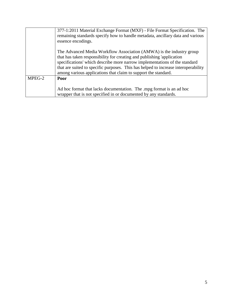|        | 377-1:2011 Material Exchange Format (MXF) - File Format Specification. The<br>remaining standards specify how to handle metadata, ancillary data and various<br>essence encodings.                                                                                                                                                                                                   |
|--------|--------------------------------------------------------------------------------------------------------------------------------------------------------------------------------------------------------------------------------------------------------------------------------------------------------------------------------------------------------------------------------------|
|        | The Advanced Media Workflow Association (AMWA) is the industry group<br>that has taken responsibility for creating and publishing 'application<br>specifications' which describe more narrow implementations of the standard<br>that are suited to specific purposes. This has helped to increase interoperability<br>among various applications that claim to support the standard. |
| MPEG-2 | <b>Poor</b><br>Ad hoc format that lacks documentation. The mpg format is an ad hoc<br>wrapper that is not specified in or documented by any standards.                                                                                                                                                                                                                               |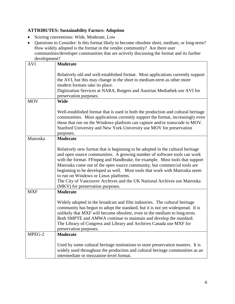#### <span id="page-5-0"></span>**ATTRIBUTES: Sustainability Factors: Adoption**

- Scoring conventions: Wide, Moderate, Low
- Questions to Consider: Is this format likely to become obsolete short, medium, or long-term? How widely adopted is the format in the vendor community? Are there user communities/developer communities that are actively discussing the format and its further development?

|            | development?                                                                                                                                                                                                                                                                                                                                                                                                                                                                                                                                                 |  |  |
|------------|--------------------------------------------------------------------------------------------------------------------------------------------------------------------------------------------------------------------------------------------------------------------------------------------------------------------------------------------------------------------------------------------------------------------------------------------------------------------------------------------------------------------------------------------------------------|--|--|
| <b>AVI</b> | <b>Moderate</b>                                                                                                                                                                                                                                                                                                                                                                                                                                                                                                                                              |  |  |
|            | Relatively old and well-established format. Most applications currently support<br>the AVI, but this may change in the short to medium-term as other more<br>modern formats take its place.<br>Digitization Services at NARA, Rutgers and Austrian Mediathek use AVI for<br>preservation purposes.                                                                                                                                                                                                                                                           |  |  |
| <b>MOV</b> | <b>Wide</b>                                                                                                                                                                                                                                                                                                                                                                                                                                                                                                                                                  |  |  |
|            |                                                                                                                                                                                                                                                                                                                                                                                                                                                                                                                                                              |  |  |
|            | Well-established format that is used in both the production and cultural heritage<br>communities. Most applications currently support the format, increasingly even<br>those that run on the Windows platform can capture and/or transcode to MOV.<br>Stanford University and New York University use MOV for preservation<br>purposes.                                                                                                                                                                                                                      |  |  |
| Matroska   | <b>Moderate</b>                                                                                                                                                                                                                                                                                                                                                                                                                                                                                                                                              |  |  |
|            | Relatively new format that is beginning to be adopted in the cultural heritage<br>and open source communities. A growing number of software tools can work<br>with the format- FFmpeg and Handbrake, for example. Most tools that support<br>Matroska come out of the open source community, but commercial tools are<br>beginning to be developed as well. Most tools that work with Matroska seem<br>to run on Windows or Linux platforms.<br>The City of Vancouver Archives and the UK National Archives use Matroska<br>(MKV) for preservation purposes. |  |  |
| <b>MXF</b> | <b>Moderate</b>                                                                                                                                                                                                                                                                                                                                                                                                                                                                                                                                              |  |  |
|            | Widely adopted in the broadcast and film industries. The cultural heritage<br>community has begun to adopt the standard, but it is not yet widespread. It is<br>unlikely that MXF will become obsolete, even in the medium to long-term.<br>Both SMPTE and AMWA continue to maintain and develop the standard.<br>The Library of Congress and Library and Archives Canada use MXF for<br>preservation purposes.                                                                                                                                              |  |  |
| MPEG-2     | <b>Moderate</b>                                                                                                                                                                                                                                                                                                                                                                                                                                                                                                                                              |  |  |
|            | Used by some cultural heritage institutions to store preservation masters. It is<br>widely used throughout the production and cultural heritage communities as an<br>intermediate or mezzanine-level format.                                                                                                                                                                                                                                                                                                                                                 |  |  |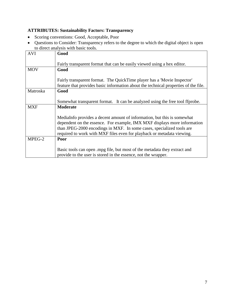# <span id="page-6-0"></span>**ATTRIBUTES: Sustainability Factors: Transparency**

- Scoring conventions: Good, Acceptable, Poor
- Questions to Consider: Transparency refers to the degree to which the digital object is open to direct analysis with basic tools.

|            | to un cet and you with basic toons.                                                                                                                                                                                                                                                                    |
|------------|--------------------------------------------------------------------------------------------------------------------------------------------------------------------------------------------------------------------------------------------------------------------------------------------------------|
| <b>AVI</b> | Good                                                                                                                                                                                                                                                                                                   |
|            | Fairly transparent format that can be easily viewed using a hex editor.                                                                                                                                                                                                                                |
| <b>MOV</b> | Good                                                                                                                                                                                                                                                                                                   |
|            | Fairly transparent format. The QuickTime player has a 'Movie Inspector'<br>feature that provides basic information about the technical properties of the file.                                                                                                                                         |
| Matroska   | Good                                                                                                                                                                                                                                                                                                   |
|            | Somewhat transparent format. It can be analyzed using the free tool ffprobe.                                                                                                                                                                                                                           |
| <b>MXF</b> | <b>Moderate</b>                                                                                                                                                                                                                                                                                        |
|            | MediaInfo provides a decent amount of information, but this is somewhat<br>dependent on the essence. For example, IMX MXF displays more information<br>than JPEG-2000 encodings in MXF. In some cases, specialized tools are<br>required to work with MXF files even for playback or metadata viewing. |
| MPEG-2     | Poor                                                                                                                                                                                                                                                                                                   |
|            | Basic tools can open mpg file, but most of the metadata they extract and<br>provide to the user is stored in the essence, not the wrapper.                                                                                                                                                             |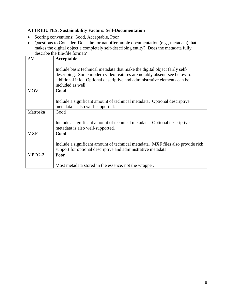#### <span id="page-7-0"></span>**ATTRIBUTES: Sustainability Factors: Self-Documentation**

- Scoring conventions: Good, Acceptable, Poor
- Questions to Consider: Does the format offer ample documentation (e.g., metadata) that makes the digital object a completely self-describing entity? Does the metadata fully describe the file/file format?

| <b>AVI</b> | Acceptable                                                                                                                                                                                                                                              |
|------------|---------------------------------------------------------------------------------------------------------------------------------------------------------------------------------------------------------------------------------------------------------|
|            | Include basic technical metadata that make the digital object fairly self-<br>describing. Some modern video features are notably absent; see below for<br>additional info. Optional descriptive and administrative elements can be<br>included as well. |
| <b>MOV</b> | Good                                                                                                                                                                                                                                                    |
|            | Include a significant amount of technical metadata. Optional descriptive<br>metadata is also well-supported.                                                                                                                                            |
| Matroska   | Good                                                                                                                                                                                                                                                    |
|            | Include a significant amount of technical metadata. Optional descriptive<br>metadata is also well-supported.                                                                                                                                            |
| <b>MXF</b> | Good                                                                                                                                                                                                                                                    |
|            | Include a significant amount of technical metadata. MXF files also provide rich<br>support for optional descriptive and administrative metadata.                                                                                                        |
| MPEG-2     | Poor                                                                                                                                                                                                                                                    |
|            | Most metadata stored in the essence, not the wrapper.                                                                                                                                                                                                   |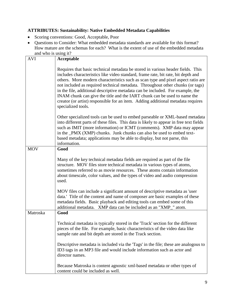#### <span id="page-8-0"></span>**ATTRIBUTES: Sustainability: Native Embedded Metadata Capabilities**

- Scoring conventions: Good, Acceptable, Poor
- Questions to Consider: What embedded metadata standards are available for this format? How mature are the schemas for each? What is the extent of use of the embedded metadata and who is using it?

| <b>AVI</b> | Acceptable                                                                                                                                                                                                                                                                                                                                                                                                                                                                                                                                                                                                         |
|------------|--------------------------------------------------------------------------------------------------------------------------------------------------------------------------------------------------------------------------------------------------------------------------------------------------------------------------------------------------------------------------------------------------------------------------------------------------------------------------------------------------------------------------------------------------------------------------------------------------------------------|
|            | Requires that basic technical metadata be stored in various header fields. This<br>includes characteristics like video standard, frame rate, bit rate, bit depth and<br>others. More modern characteristics such as scan type and pixel aspect ratio are<br>not included as required technical metadata. Throughout other chunks (or tags)<br>in the file, additional descriptive metadata can be included. For example, the<br>INAM chunk can give the title and the IART chunk can be used to name the<br>creator (or artist) responsible for an item. Adding additional metadata requires<br>specialized tools. |
|            | Other specialized tools can be used to embed parseable or XML-based metadata<br>into different parts of these files. This data is likely to appear in free text fields<br>such as IMIT (more information) or ICMT (comments). XMP data may appear<br>in the _PMX (XMP) chunks. Junk chunks can also be used to embed text-<br>based metadata; applications may be able to display, but not parse, this<br>information.                                                                                                                                                                                             |
| <b>MOV</b> | Good                                                                                                                                                                                                                                                                                                                                                                                                                                                                                                                                                                                                               |
|            | Many of the key technical metadata fields are required as part of the file<br>structure. MOV files store technical metadata in various types of atoms,<br>sometimes referred to as movie resources. These atoms contain information<br>about timescale, color values, and the types of video and audio compression<br>used.                                                                                                                                                                                                                                                                                        |
|            | MOV files can include a significant amount of descriptive metadata as 'user<br>data.' Title of the content and name of composer are basic examples of these<br>metadata fields. Basic playback and editing tools can embed some of this<br>additional metadata. XMP data can be included as an "XMP_" atom.                                                                                                                                                                                                                                                                                                        |
| Matroska   | Good                                                                                                                                                                                                                                                                                                                                                                                                                                                                                                                                                                                                               |
|            | Technical metadata is typically stored in the 'Track' section for the different<br>pieces of the file. For example, basic characteristics of the video data like<br>sample rate and bit depth are stored in the Track section.                                                                                                                                                                                                                                                                                                                                                                                     |
|            | Descriptive metadata is included via the 'Tags' in the file; these are analogous to<br>ID3 tags in an MP3 file and would include information such as actor and<br>director names.                                                                                                                                                                                                                                                                                                                                                                                                                                  |
|            | Because Matroska is content agnostic xml-based metadata or other types of<br>content could be included as well.                                                                                                                                                                                                                                                                                                                                                                                                                                                                                                    |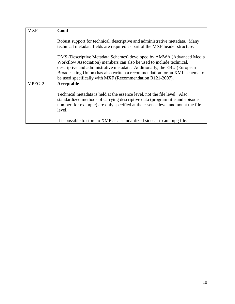| <b>MXF</b> | Good                                                                                                                                                                                                                                                                                                   |
|------------|--------------------------------------------------------------------------------------------------------------------------------------------------------------------------------------------------------------------------------------------------------------------------------------------------------|
|            | Robust support for technical, descriptive and administrative metadata. Many<br>technical metadata fields are required as part of the MXF header structure.                                                                                                                                             |
|            | DMS (Descriptive Metadata Schemes) developed by AMWA (Advanced Media<br>Workflow Association) members can also be used to include technical,<br>descriptive and administrative metadata. Additionally, the EBU (European<br>Broadcasting Union) has also written a recommendation for an XML schema to |
|            | be used specifically with MXF (Recommendation R121-2007).                                                                                                                                                                                                                                              |
| MPEG-2     | Acceptable<br>Technical metadata is held at the essence level, not the file level. Also,<br>standardized methods of carrying descriptive data (program title and episode<br>number, for example) are only specified at the essence level and not at the file<br>level.                                 |
|            | It is possible to store to XMP as a standardized side car to an mpg file.                                                                                                                                                                                                                              |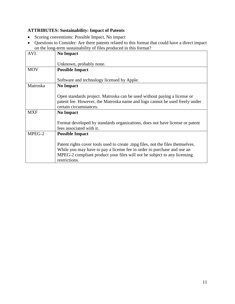# <span id="page-10-0"></span>**ATTRIBUTES: Sustainability: Impact of Patents**

- Scoring conventions: Possible Impact, No impact
- Questions to Consider: Are there patents related to this format that could have a direct impact on the long-term sustainability of files produced in this format?

| <b>AVI</b> | term bustamability of files proceeded in this romant.<br><b>No Impact</b>      |
|------------|--------------------------------------------------------------------------------|
|            |                                                                                |
|            | Unknown, probably none.                                                        |
| <b>MOV</b> | <b>Possible Impact</b>                                                         |
|            |                                                                                |
|            | Software and technology licensed by Apple.                                     |
| Matroska   | <b>No Impact</b>                                                               |
|            |                                                                                |
|            | Open standards project. Matroska can be used without paying a license or       |
|            | patent fee. However, the Matroska name and logo cannot be used freely under    |
|            | certain circumstances.                                                         |
| <b>MXF</b> | <b>No Impact</b>                                                               |
|            |                                                                                |
|            | Format developed by standards organizations, does not have license or patent   |
|            | fees associated with it.                                                       |
| MPEG-2     | <b>Possible Impact</b>                                                         |
|            |                                                                                |
|            | Patent rights cover tools used to create .mpg files, not the files themselves. |
|            | While you may have to pay a license fee in order to purchase and use an        |
|            | MPEG-2 compliant product your files will not be subject to any licensing       |
|            | restrictions.                                                                  |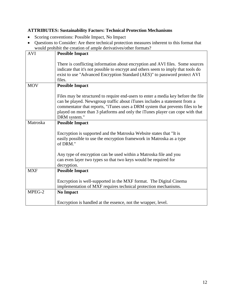#### <span id="page-11-0"></span>**ATTRIBUTES: Sustainability Factors: Technical Protection Mechanisms**

- Scoring conventions: Possible Impact, No Impact
- Questions to Consider: Are there technical protection measures inherent to this format that would prohibit the creation of ample derivatives/other formats?

| would profit the creation of ample derivatives/othernomials: |                                                                                                                                                                                                                                                                                                                                                  |
|--------------------------------------------------------------|--------------------------------------------------------------------------------------------------------------------------------------------------------------------------------------------------------------------------------------------------------------------------------------------------------------------------------------------------|
| <b>AVI</b>                                                   | <b>Possible Impact</b>                                                                                                                                                                                                                                                                                                                           |
|                                                              | There is conflicting information about encryption and AVI files. Some sources<br>indicate that it's not possible to encrypt and others seem to imply that tools do<br>exist to use "Advanced Encryption Standard (AES)" to password protect AVI<br>files.                                                                                        |
| <b>MOV</b>                                                   | <b>Possible Impact</b>                                                                                                                                                                                                                                                                                                                           |
|                                                              | Files may be structured to require end-users to enter a media key before the file<br>can be played. Newsgroup traffic about iTunes includes a statement from a<br>commentator that reports, "iTunes uses a DRM system that prevents files to be<br>played on more than 3 platforms and only the iTunes player can cope with that<br>DRM system." |
| Matroska                                                     | <b>Possible Impact</b>                                                                                                                                                                                                                                                                                                                           |
|                                                              | Encryption is supported and the Matroska Website states that "It is<br>easily possible to use the encryption framework in Matroska as a type<br>of DRM."                                                                                                                                                                                         |
|                                                              | Any type of encryption can be used within a Matroska file and you<br>can even layer two types so that two keys would be required for                                                                                                                                                                                                             |
|                                                              | decryption.                                                                                                                                                                                                                                                                                                                                      |
| <b>MXF</b>                                                   | <b>Possible Impact</b>                                                                                                                                                                                                                                                                                                                           |
|                                                              | Encryption is well-supported in the MXF format. The Digital Cinema<br>implementation of MXF requires technical protection mechanisms.                                                                                                                                                                                                            |
| MPEG-2                                                       | <b>No Impact</b>                                                                                                                                                                                                                                                                                                                                 |
|                                                              | Encryption is handled at the essence, not the wrapper, level.                                                                                                                                                                                                                                                                                    |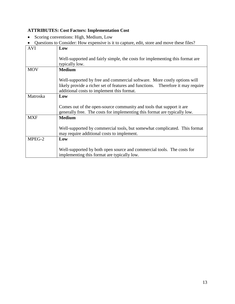# <span id="page-12-0"></span>**ATTRIBUTES: Cost Factors: Implementation Cost**

• Scoring conventions: High, Medium, Low

| Questions to Consider: How expensive is it to capture, edit, store and move these files? |                                                                                 |  |
|------------------------------------------------------------------------------------------|---------------------------------------------------------------------------------|--|
| <b>AVI</b>                                                                               | Low                                                                             |  |
|                                                                                          |                                                                                 |  |
|                                                                                          | Well-supported and fairly simple, the costs for implementing this format are    |  |
|                                                                                          | typically low.                                                                  |  |
| <b>MOV</b>                                                                               | <b>Medium</b>                                                                   |  |
|                                                                                          |                                                                                 |  |
|                                                                                          | Well-supported by free and commercial software. More costly options will        |  |
|                                                                                          | likely provide a richer set of features and functions. Therefore it may require |  |
|                                                                                          | additional costs to implement this format.                                      |  |
| Matroska                                                                                 | Low                                                                             |  |
|                                                                                          |                                                                                 |  |
|                                                                                          | Comes out of the open-source community and tools that support it are            |  |
|                                                                                          | generally free. The costs for implementing this format are typically low.       |  |
| <b>MXF</b>                                                                               | <b>Medium</b>                                                                   |  |
|                                                                                          |                                                                                 |  |
|                                                                                          | Well-supported by commercial tools, but somewhat complicated. This format       |  |
|                                                                                          | may require additional costs to implement.                                      |  |
| MPEG-2                                                                                   | Low                                                                             |  |
|                                                                                          |                                                                                 |  |
|                                                                                          | Well-supported by both open source and commercial tools. The costs for          |  |
|                                                                                          | implementing this format are typically low.                                     |  |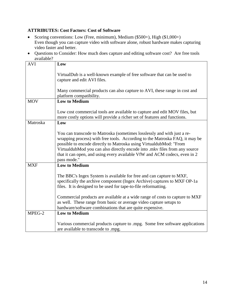#### <span id="page-13-0"></span>**ATTRIBUTES: Cost Factors: Cost of Software**

- Scoring conventions: Low (Free, minimum), Medium (\$500+), High (\$1,000+) Even though you can capture video with software alone, robust hardware makes capturing video faster and better.
- Questions to Consider: How much does capture and editing software cost? Are free tools available?

| <b>AVI</b> | Low                                                                                                                                                                                                                                                                                                                                                                                                    |
|------------|--------------------------------------------------------------------------------------------------------------------------------------------------------------------------------------------------------------------------------------------------------------------------------------------------------------------------------------------------------------------------------------------------------|
|            | VirtualDub is a well-known example of free software that can be used to<br>capture and edit AVI files.                                                                                                                                                                                                                                                                                                 |
|            | Many commercial products can also capture to AVI, these range in cost and<br>platform compatibility.                                                                                                                                                                                                                                                                                                   |
| <b>MOV</b> | <b>Low to Medium</b>                                                                                                                                                                                                                                                                                                                                                                                   |
|            | Low cost commercial tools are available to capture and edit MOV files, but<br>more costly options will provide a richer set of features and functions.                                                                                                                                                                                                                                                 |
| Matroska   | Low                                                                                                                                                                                                                                                                                                                                                                                                    |
|            | You can transcode to Matroska (sometimes losslessly and with just a re-<br>wrapping process) with free tools. According to the Matroska FAQ, it may be<br>possible to encode directly to Matroska using VirtualdubMod: "From<br>VirtualdubMod you can also directly encode into .mkv files from any source<br>that it can open, and using every available VfW and ACM codecs, even in 2<br>pass mode." |
| <b>MXF</b> | <b>Low to Medium</b>                                                                                                                                                                                                                                                                                                                                                                                   |
|            | The BBC's Ingex System is available for free and can capture to MXF,<br>specifically the archive component (Ingex Archive) captures to MXF OP-1a<br>files. It is designed to be used for tape-to-file reformatting.                                                                                                                                                                                    |
|            | Commercial products are available at a wide range of costs to capture to MXF<br>as well. These range from basic or average video capture setups to                                                                                                                                                                                                                                                     |
|            | hardware/software combinations that are quite expensive.                                                                                                                                                                                                                                                                                                                                               |
| $MPEG-2$   | <b>Low to Medium</b>                                                                                                                                                                                                                                                                                                                                                                                   |
|            | Various commercial products capture to mpg. Some free software applications<br>are available to transcode to .mpg.                                                                                                                                                                                                                                                                                     |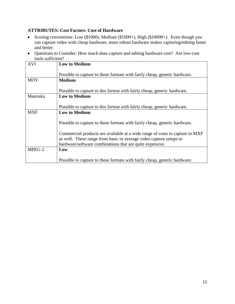#### <span id="page-14-0"></span>**ATTRIBUTES: Cost Factors: Cost of Hardware**

- Scoring conventions: Low (\$1000), Medium (\$1000+), High (\$10000+). Even though you can capture video with cheap hardware, more robust hardware makes capturing/editing faster and better.
- Questions to Consider: How much does capture and editing hardware cost? Are low-cost tools sufficient?

| <b>AVI</b>      | <b>Low to Medium</b>                                                         |
|-----------------|------------------------------------------------------------------------------|
|                 |                                                                              |
|                 | Possible to capture to these formats with fairly cheap, generic hardware.    |
| <b>MOV</b>      | <b>Medium</b>                                                                |
|                 |                                                                              |
|                 | Possible to capture to this format with fairly cheap, generic hardware.      |
| <b>Matroska</b> | <b>Low to Medium</b>                                                         |
|                 |                                                                              |
|                 | Possible to capture to this format with fairly cheap, generic hardware.      |
| <b>MXF</b>      | <b>Low to Medium</b>                                                         |
|                 |                                                                              |
|                 | Possible to capture to these formats with fairly cheap, generic hardware.    |
|                 |                                                                              |
|                 | Commercial products are available at a wide range of costs to capture to MXF |
|                 | as well. These range from basic or average video capture setups to           |
|                 | hardware/software combinations that are quite expensive.                     |
| MPEG-2          | Low                                                                          |
|                 |                                                                              |
|                 | Possible to capture to these formats with fairly cheap, generic hardware.    |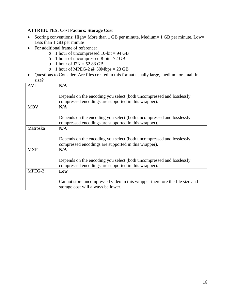#### <span id="page-15-0"></span>**ATTRIBUTES: Cost Factors: Storage Cost**

- Scoring conventions: High= More than 1 GB per minute, Medium= 1 GB per minute, Low= Less than 1 GB per minute
- For additional frame of reference:
	- $\circ$  1 hour of uncompressed 10-bit = 94 GB
	- o 1 hour of uncompressed 8-bit =72 GB
	- o 1 hour of  $J2K = 52.83$  GB
	- o 1 hour of MPEG-2  $\omega$  50Mbps = 23 GB
- Questions to Consider: Are files created in this format usually large, medium, or small in size?

| <b>AVI</b> | N/A                                                                                                                          |
|------------|------------------------------------------------------------------------------------------------------------------------------|
|            | Depends on the encoding you select (both uncompressed and losslessly<br>compressed encodings are supported in this wrapper). |
| <b>MOV</b> | N/A                                                                                                                          |
|            | Depends on the encoding you select (both uncompressed and losslessly<br>compressed encodings are supported in this wrapper). |
| Matroska   | N/A                                                                                                                          |
|            | Depends on the encoding you select (both uncompressed and losslessly<br>compressed encodings are supported in this wrapper). |
| <b>MXF</b> | N/A                                                                                                                          |
|            | Depends on the encoding you select (both uncompressed and losslessly<br>compressed encodings are supported in this wrapper). |
| MPEG-2     | Low                                                                                                                          |
|            | Cannot store uncompressed video in this wrapper therefore the file size and<br>storage cost will always be lower.            |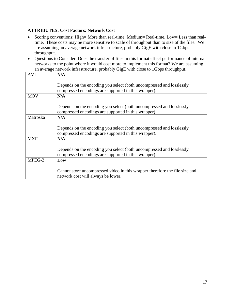#### <span id="page-16-0"></span>**ATTRIBUTES: Cost Factors: Network Cost**

- Scoring conventions: High= More than real-time, Medium= Real-time, Low= Less than realtime. These costs may be more sensitive to scale of throughput than to size of the files. We are assuming an average network infrastructure, probably GigE with close to 1Gbps throughput.
- Questions to Consider: Does the transfer of files in this format effect performance of internal networks to the point where it would cost more to implement this format? We are assuming an average network infrastructure, probably GigE with close to 1Gbps throughput.

| N/A                                                                         |
|-----------------------------------------------------------------------------|
| Depends on the encoding you select (both uncompressed and losslessly        |
| compressed encodings are supported in this wrapper).                        |
| N/A                                                                         |
| Depends on the encoding you select (both uncompressed and losslessly        |
| compressed encodings are supported in this wrapper).                        |
| N/A                                                                         |
|                                                                             |
| Depends on the encoding you select (both uncompressed and losslessly        |
| compressed encodings are supported in this wrapper).                        |
| N/A                                                                         |
|                                                                             |
| Depends on the encoding you select (both uncompressed and losslessly        |
| compressed encodings are supported in this wrapper).                        |
| Low                                                                         |
|                                                                             |
| Cannot store uncompressed video in this wrapper therefore the file size and |
| network cost will always be lower.                                          |
|                                                                             |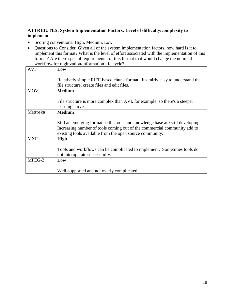#### <span id="page-17-0"></span>**ATTRIBUTES: System Implementation Factors: Level of difficulty/complexity to implement**

- Scoring conventions: High, Medium, Low
- Questions to Consider: Given all of the system implementation factors, how hard is it to implement this format? What is the level of effort associated with the implementation of this format? Are there special requirements for this format that would change the nominal workflow for digitization/information life cycle?

| Low                                                                            |
|--------------------------------------------------------------------------------|
|                                                                                |
| Relatively simple RIFF-based chunk format. It's fairly easy to understand the  |
| file structure, create files and edit files.                                   |
| <b>Medium</b>                                                                  |
|                                                                                |
| File structure is more complex than AVI, for example, so there's a steeper     |
| learning curve.                                                                |
| <b>Medium</b>                                                                  |
|                                                                                |
| Still an emerging format so the tools and knowledge base are still developing. |
| Increasing number of tools coming out of the commercial community add to       |
| existing tools available from the open source community.                       |
| <b>High</b>                                                                    |
|                                                                                |
| Tools and workflows can be complicated to implement. Sometimes tools do        |
| not interoperate successfully.                                                 |
| Low                                                                            |
|                                                                                |
| Well-supported and not overly complicated.                                     |
|                                                                                |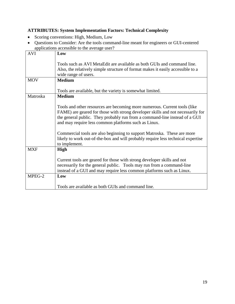# <span id="page-18-0"></span>**ATTRIBUTES: System Implementation Factors: Technical Complexity**

- Scoring conventions: High, Medium, Low
- Questions to Consider: Are the tools command-line meant for engineers or GUI-centered applications accessible to the average user?

|            | approachons accessible to the average aser.                                                                                                                                                                                                                                                        |
|------------|----------------------------------------------------------------------------------------------------------------------------------------------------------------------------------------------------------------------------------------------------------------------------------------------------|
| <b>AVI</b> | Low                                                                                                                                                                                                                                                                                                |
|            | Tools such as AVI MetaEdit are available as both GUIs and command line.                                                                                                                                                                                                                            |
|            | Also, the relatively simple structure of format makes it easily accessible to a                                                                                                                                                                                                                    |
|            | wide range of users.                                                                                                                                                                                                                                                                               |
| <b>MOV</b> | <b>Medium</b>                                                                                                                                                                                                                                                                                      |
|            | Tools are available, but the variety is somewhat limited.                                                                                                                                                                                                                                          |
| Matroska   | <b>Medium</b>                                                                                                                                                                                                                                                                                      |
|            | Tools and other resources are becoming more numerous. Current tools (like<br>FAME) are geared for those with strong developer skills and not necessarily for<br>the general public. They probably run from a command-line instead of a GUI<br>and may require less common platforms such as Linux. |
|            | Commercial tools are also beginning to support Matroska. These are more<br>likely to work out-of-the-box and will probably require less technical expertise<br>to implement.                                                                                                                       |
| <b>MXF</b> | <b>High</b>                                                                                                                                                                                                                                                                                        |
|            | Current tools are geared for those with strong developer skills and not<br>necessarily for the general public. Tools may run from a command-line<br>instead of a GUI and may require less common platforms such as Linux.                                                                          |
| MPEG-2     | Low                                                                                                                                                                                                                                                                                                |
|            |                                                                                                                                                                                                                                                                                                    |
|            | Tools are available as both GUIs and command line.                                                                                                                                                                                                                                                 |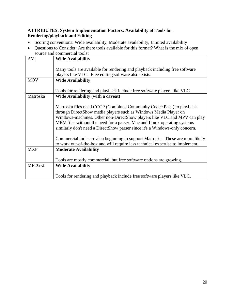#### <span id="page-19-0"></span>**ATTRIBUTES: System Implementation Factors: Availability of Tools for: Rendering/playback and Editing**

- Scoring conventions: Wide availability, Moderate availability, Limited availability
- Questions to Consider: Are there tools available for this format? What is the mix of open source and commercial tools?

| <b>AVI</b> | <b>Wide Availability</b>                                                                                                                                                                                                                                                                                                                                                        |
|------------|---------------------------------------------------------------------------------------------------------------------------------------------------------------------------------------------------------------------------------------------------------------------------------------------------------------------------------------------------------------------------------|
|            | Many tools are available for rendering and playback including free software<br>players like VLC. Free editing software also exists.                                                                                                                                                                                                                                             |
| <b>MOV</b> | <b>Wide Availability</b>                                                                                                                                                                                                                                                                                                                                                        |
|            | Tools for rendering and playback include free software players like VLC.                                                                                                                                                                                                                                                                                                        |
| Matroska   | <b>Wide Availability (with a caveat)</b>                                                                                                                                                                                                                                                                                                                                        |
|            | Matroska files need CCCP (Combined Community Codec Pack) to playback<br>through DirectShow media players such as Windows Media Player on<br>Windows-machines. Other non-DirectShow players like VLC and MPV can play<br>MKV files without the need for a parser. Mac and Linux operating systems<br>similarly don't need a DirectShow parser since it's a Windows-only concern. |
|            | Commercial tools are also beginning to support Matroska. These are more likely                                                                                                                                                                                                                                                                                                  |
| <b>MXF</b> | to work out-of-the-box and will require less technical expertise to implement.<br><b>Moderate Availability</b>                                                                                                                                                                                                                                                                  |
|            |                                                                                                                                                                                                                                                                                                                                                                                 |
|            | Tools are mostly commercial, but free software options are growing.                                                                                                                                                                                                                                                                                                             |
| MPEG-2     | <b>Wide Availability</b>                                                                                                                                                                                                                                                                                                                                                        |
|            | Tools for rendering and playback include free software players like VLC.                                                                                                                                                                                                                                                                                                        |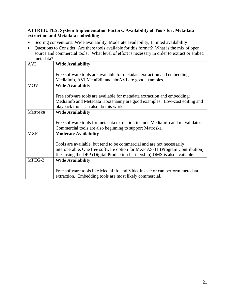#### <span id="page-20-0"></span>**ATTRIBUTES: System Implementation Factors: Availability of Tools for: Metadata extraction and Metadata embedding**

- Scoring conventions: Wide availability, Moderate availability, Limited availability
- Questions to Consider: Are there tools available for this format? What is the mix of open source and commercial tools? What level of effort is necessary in order to extract or embed metadata?

| <b>AVI</b> | <b>Wide Availability</b>                                                       |
|------------|--------------------------------------------------------------------------------|
|            |                                                                                |
|            | Free software tools are available for metadata extraction and embedding;       |
|            | MediaInfo, AVI MetaEdit and abcAVI are good examples.                          |
| <b>MOV</b> | <b>Wide Availability</b>                                                       |
|            |                                                                                |
|            | Free software tools are available for metadata extraction and embedding;       |
|            | MediaInfo and Metadata Hootenanny are good examples. Low-cost editing and      |
|            | playback tools can also do this work.                                          |
| Matroska   | <b>Wide Availability</b>                                                       |
|            |                                                                                |
|            | Free software tools for metadata extraction include MediaInfo and mkvalidator. |
|            | Commercial tools are also beginning to support Matroska.                       |
| <b>MXF</b> | <b>Moderate Availability</b>                                                   |
|            |                                                                                |
|            | Tools are available, but tend to be commercial and are not necessarily         |
|            | interoperable. One free software option for MXF AS-11 (Program Contribution)   |
|            | files using the DPP (Digital Production Partnership) DMS is also available.    |
| MPEG-2     | <b>Wide Availability</b>                                                       |
|            |                                                                                |
|            | Free software tools like MediaInfo and VideoInspector can perform metadata     |
|            | extraction. Embedding tools are most likely commercial.                        |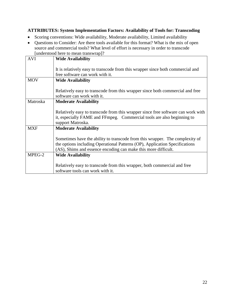#### <span id="page-21-0"></span>**ATTRIBUTES: System Implementation Factors: Availability of Tools for: Transcoding**

- Scoring conventions: Wide availability, Moderate availability, Limited availability
- Questions to Consider: Are there tools available for this format? What is the mix of open source and commercial tools? What level of effort is necessary in order to transcode [understood here to mean transwrap]?

| <b>AVI</b> | <b>Wide Availability</b>                                                         |
|------------|----------------------------------------------------------------------------------|
|            |                                                                                  |
|            |                                                                                  |
|            | It is relatively easy to transcode from this wrapper since both commercial and   |
|            | free software can work with it.                                                  |
| <b>MOV</b> | <b>Wide Availability</b>                                                         |
|            |                                                                                  |
|            | Relatively easy to transcode from this wrapper since both commercial and free    |
|            | software can work with it.                                                       |
| Matroska   | <b>Moderate Availability</b>                                                     |
|            |                                                                                  |
|            | Relatively easy to transcode from this wrapper since free software can work with |
|            | it, especially FAME and FFmpeg. Commercial tools are also beginning to           |
|            |                                                                                  |
|            | support Matroska.                                                                |
| <b>MXF</b> | <b>Moderate Availability</b>                                                     |
|            |                                                                                  |
|            | Sometimes have the ability to transcode from this wrapper. The complexity of     |
|            | the options including Operational Patterns (OP), Application Specifications      |
|            | (AS), Shims and essence encoding can make this more difficult.                   |
| MPEG-2     | <b>Wide Availability</b>                                                         |
|            |                                                                                  |
|            | Relatively easy to transcode from this wrapper, both commercial and free         |
|            | software tools can work with it.                                                 |
|            |                                                                                  |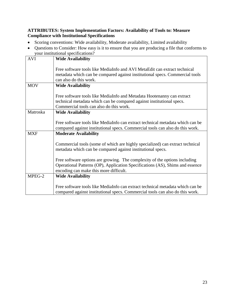#### <span id="page-22-0"></span>**ATTRIBUTES: System Implementation Factors: Availability of Tools to: Measure Compliance with Institutional Specifications**

- Scoring conventions: Wide availability, Moderate availability, Limited availability
- Questions to Consider: How easy is it to ensure that you are producing a file that conforms to your institutional specifications?

| <b>AVI</b> | <b>Wide Availability</b>                                                                                                                                                                              |
|------------|-------------------------------------------------------------------------------------------------------------------------------------------------------------------------------------------------------|
|            | Free software tools like MediaInfo and AVI MetaEdit can extract technical<br>metadata which can be compared against institutional specs. Commercial tools<br>can also do this work.                   |
| <b>MOV</b> | <b>Wide Availability</b>                                                                                                                                                                              |
|            | Free software tools like MediaInfo and Metadata Hootenanny can extract<br>technical metadata which can be compared against institutional specs.<br>Commercial tools can also do this work.            |
| Matroska   | <b>Wide Availability</b>                                                                                                                                                                              |
|            | Free software tools like MediaInfo can extract technical metadata which can be<br>compared against institutional specs. Commercial tools can also do this work.                                       |
| <b>MXF</b> | <b>Moderate Availability</b>                                                                                                                                                                          |
|            | Commercial tools (some of which are highly specialized) can extract technical<br>metadata which can be compared against institutional specs.                                                          |
|            | Free software options are growing. The complexity of the options including<br>Operational Patterns (OP), Application Specifications (AS), Shims and essence<br>encoding can make this more difficult. |
| MPEG-2     | <b>Wide Availability</b>                                                                                                                                                                              |
|            | Free software tools like MediaInfo can extract technical metadata which can be<br>compared against institutional specs. Commercial tools can also do this work.                                       |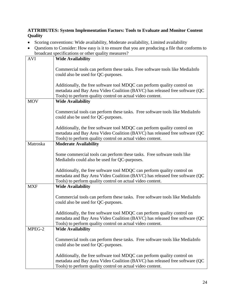#### <span id="page-23-0"></span>**ATTRIBUTES: System Implementation Factors: Tools to Evaluate and Monitor Content Quality**

- Scoring conventions: Wide availability, Moderate availability, Limited availability
- Questions to Consider: How easy is it to ensure that you are producing a file that conforms to broadcast specifications or other quality measures?

| <b>AVI</b> | <b>Wide Availability</b>                                                                                                                                 |
|------------|----------------------------------------------------------------------------------------------------------------------------------------------------------|
|            |                                                                                                                                                          |
|            | Commercial tools can perform these tasks. Free software tools like MediaInfo<br>could also be used for QC-purposes.                                      |
|            |                                                                                                                                                          |
|            | Additionally, the free software tool MDQC can perform quality control on                                                                                 |
|            | metadata and Bay Area Video Coalition (BAVC) has released free software (QC                                                                              |
|            | Tools) to perform quality control on actual video content.                                                                                               |
| <b>MOV</b> | <b>Wide Availability</b>                                                                                                                                 |
|            |                                                                                                                                                          |
|            | Commercial tools can perform these tasks. Free software tools like MediaInfo                                                                             |
|            | could also be used for QC-purposes.                                                                                                                      |
|            |                                                                                                                                                          |
|            | Additionally, the free software tool MDQC can perform quality control on                                                                                 |
|            | metadata and Bay Area Video Coalition (BAVC) has released free software (QC                                                                              |
|            | Tools) to perform quality control on actual video content.                                                                                               |
| Matroska   | <b>Moderate Availability</b>                                                                                                                             |
|            |                                                                                                                                                          |
|            | Some commercial tools can perform these tasks. Free software tools like                                                                                  |
|            | MediaInfo could also be used for QC-purposes.                                                                                                            |
|            |                                                                                                                                                          |
|            | Additionally, the free software tool MDQC can perform quality control on<br>metadata and Bay Area Video Coalition (BAVC) has released free software (QC) |
|            | Tools) to perform quality control on actual video content.                                                                                               |
| <b>MXF</b> | <b>Wide Availability</b>                                                                                                                                 |
|            |                                                                                                                                                          |
|            | Commercial tools can perform these tasks. Free software tools like MediaInfo                                                                             |
|            | could also be used for QC-purposes.                                                                                                                      |
|            |                                                                                                                                                          |
|            | Additionally, the free software tool MDQC can perform quality control on                                                                                 |
|            | metadata and Bay Area Video Coalition (BAVC) has released free software (QC                                                                              |
|            | Tools) to perform quality control on actual video content.                                                                                               |
| MPEG-2     | <b>Wide Availability</b>                                                                                                                                 |
|            |                                                                                                                                                          |
|            | Commercial tools can perform these tasks. Free software tools like MediaInfo                                                                             |
|            | could also be used for QC-purposes.                                                                                                                      |
|            |                                                                                                                                                          |
|            | Additionally, the free software tool MDQC can perform quality control on                                                                                 |
|            | metadata and Bay Area Video Coalition (BAVC) has released free software (QC                                                                              |
|            | Tools) to perform quality control on actual video content.                                                                                               |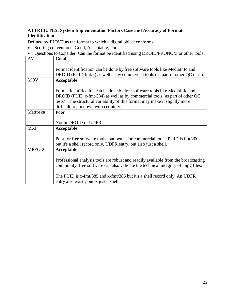#### <span id="page-24-0"></span>**ATTRIBUTES: System Implementation Factors Ease and Accuracy of Format Identification**

Defined by JHOVE as the format to which a digital object conforms

- Scoring conventions: Good, Acceptable, Poor
- Questions to Consider: Can the format be identified using DROID/PRONOM or other tools?

| <b>AVI</b> | Good                                                                                                                                                                                                                                                                              |
|------------|-----------------------------------------------------------------------------------------------------------------------------------------------------------------------------------------------------------------------------------------------------------------------------------|
|            | Format identification can be done by free software tools like MediaInfo and<br>DROID (PUID fmt/5) as well as by commercial tools (as part of other QC tests).                                                                                                                     |
| <b>MOV</b> | Acceptable                                                                                                                                                                                                                                                                        |
|            | Format identification can be done by free software tools like MediaInfo and<br>DROID (PUID x-fmt/384) as well as by commercial tools (as part of other QC<br>tests). The structural variability of this format may make it slightly more<br>difficult to pin down with certainty. |
| Matroska   | Poor                                                                                                                                                                                                                                                                              |
|            | Not in DROID or UDFR.                                                                                                                                                                                                                                                             |
| <b>MXF</b> | Acceptable                                                                                                                                                                                                                                                                        |
|            | Poor for free software tools, but better for commercial tools. PUID is fmt/200<br>but it's a shell record only. UDFR entry, but also just a shell.                                                                                                                                |
| MPEG-2     | Acceptable                                                                                                                                                                                                                                                                        |
|            | Professional analysis tools are robust and readily available from the broadcasting<br>community; free software can also validate the technical integrity of mpg files.                                                                                                            |
|            | The PUID is x-fmt/385 and x-fmt/386 but it's a shell record only. An UDFR<br>entry also exists, but is just a shell.                                                                                                                                                              |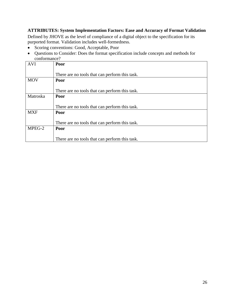#### <span id="page-25-0"></span>**ATTRIBUTES: System Implementation Factors: Ease and Accuracy of Format Validation**

Defined by JHOVE as the level of compliance of a digital object to the specification for its purported format. Validation includes well-formedness.

- Scoring conventions: Good, Acceptable, Poor
- Questions to Consider: Does the format specification include concepts and methods for conformance?

| <b>AVI</b> | Poor                                           |
|------------|------------------------------------------------|
|            |                                                |
|            | There are no tools that can perform this task. |
| <b>MOV</b> | Poor                                           |
|            |                                                |
|            | There are no tools that can perform this task. |
| Matroska   | Poor                                           |
|            |                                                |
|            | There are no tools that can perform this task. |
| <b>MXF</b> | Poor                                           |
|            |                                                |
|            | There are no tools that can perform this task. |
| MPEG-2     | Poor                                           |
|            |                                                |
|            | There are no tools that can perform this task. |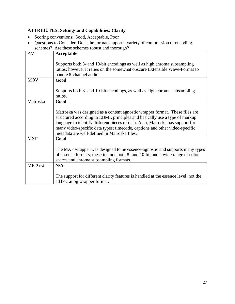### <span id="page-26-0"></span>**ATTRIBUTES: Settings and Capabilities: Clarity**

- Scoring conventions: Good, Acceptable, Poor
- Questions to Consider: Does the format support a variety of compression or encoding schemes? Are these schemes robust and thorough?

|            | scribing Scribnes of the scribing scribing and incredibility of the scribing scribing of the scribing scribing of the scribing scribing of the scribing scribing scribing scribing scribing scribing scribing scribing scribin |
|------------|--------------------------------------------------------------------------------------------------------------------------------------------------------------------------------------------------------------------------------|
| <b>AVI</b> | Acceptable                                                                                                                                                                                                                     |
|            |                                                                                                                                                                                                                                |
|            | Supports both 8- and 10-bit encodings as well as high chroma subsampling                                                                                                                                                       |
|            | ratios; however it relies on the somewhat obscure Extensible Wave-Format to                                                                                                                                                    |
|            | handle 8-channel audio.                                                                                                                                                                                                        |
|            |                                                                                                                                                                                                                                |
| <b>MOV</b> | Good                                                                                                                                                                                                                           |
|            |                                                                                                                                                                                                                                |
|            | Supports both 8- and 10-bit encodings, as well as high chroma subsampling                                                                                                                                                      |
|            | ratios.                                                                                                                                                                                                                        |
| Matroska   | Good                                                                                                                                                                                                                           |
|            |                                                                                                                                                                                                                                |
|            |                                                                                                                                                                                                                                |
|            | Matroska was designed as a content agnostic wrapper format. These files are                                                                                                                                                    |
|            | structured according to EBML principles and basically use a type of markup                                                                                                                                                     |
|            | language to identify different pieces of data. Also, Matroska has support for                                                                                                                                                  |
|            | many video-specific data types; timecode, captions and other video-specific                                                                                                                                                    |
|            | metadata are well-defined in Matroska files.                                                                                                                                                                                   |
| <b>MXF</b> | Good                                                                                                                                                                                                                           |
|            |                                                                                                                                                                                                                                |
|            |                                                                                                                                                                                                                                |
|            | The MXF wrapper was designed to be essence-agnostic and supports many types                                                                                                                                                    |
|            | of essence formats; these include both 8- and 10-bit and a wide range of color                                                                                                                                                 |
|            | spaces and chroma subsampling formats.                                                                                                                                                                                         |
| MPEG-2     | N/A                                                                                                                                                                                                                            |
|            |                                                                                                                                                                                                                                |
|            | The support for different clarity features is handled at the essence level, not the                                                                                                                                            |
|            | ad hoc .mpg wrapper format.                                                                                                                                                                                                    |
|            |                                                                                                                                                                                                                                |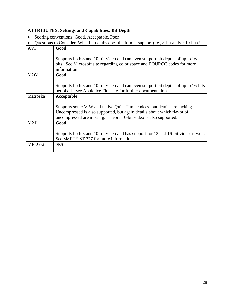#### <span id="page-27-0"></span>**ATTRIBUTES: Settings and Capabilities: Bit Depth**

- Scoring conventions: Good, Acceptable, Poor
- Questions to Consider: What bit depths does the format support (i.e., 8-bit and/or 10-bit)?

| <b>AVI</b> | Good                                                                                                                                                                                                                   |
|------------|------------------------------------------------------------------------------------------------------------------------------------------------------------------------------------------------------------------------|
|            | Supports both 8 and 10-bit video and can even support bit depths of up to 16-<br>bits. See Microsoft site regarding color space and FOURCC codes for more<br>information.                                              |
| <b>MOV</b> | Good                                                                                                                                                                                                                   |
|            | Supports both 8 and 10-bit video and can even support bit depths of up to 16-bits<br>per pixel. See Apple Ice Floe site for further documentation.                                                                     |
| Matroska   | Acceptable                                                                                                                                                                                                             |
|            | Supports some VfW and native QuickTime codecs, but details are lacking.<br>Uncompressed is also supported, but again details about which flavor of<br>uncompressed are missing. Theora 16-bit video is also supported. |
| <b>MXF</b> | Good                                                                                                                                                                                                                   |
|            | Supports both 8 and 10-bit video and has support for 12 and 16-bit video as well.<br>See SMPTE ST 377 for more information.                                                                                            |
| MPEG-2     | N/A                                                                                                                                                                                                                    |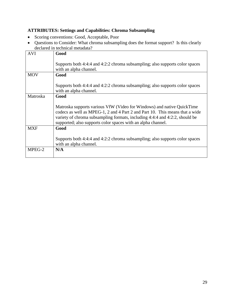#### <span id="page-28-0"></span>**ATTRIBUTES: Settings and Capabilities: Chroma Subsampling**

- Scoring conventions: Good, Acceptable, Poor
- Questions to Consider: What chroma subsampling does the format support? Is this clearly declared in technical metadata?

| <b>AVI</b>      | Good                                                                         |  |
|-----------------|------------------------------------------------------------------------------|--|
|                 |                                                                              |  |
|                 | Supports both 4:4:4 and 4:2:2 chroma subsampling; also supports color spaces |  |
|                 |                                                                              |  |
|                 | with an alpha channel.                                                       |  |
| <b>MOV</b>      | Good                                                                         |  |
|                 |                                                                              |  |
|                 | Supports both 4:4:4 and 4:2:2 chroma subsampling; also supports color spaces |  |
|                 |                                                                              |  |
|                 | with an alpha channel.                                                       |  |
| <b>Matroska</b> | Good                                                                         |  |
|                 |                                                                              |  |
|                 | Matroska supports various VfW (Video for Windows) and native QuickTime       |  |
|                 |                                                                              |  |
|                 | codecs as well as MPEG-1, 2 and 4 Part 2 and Part 10. This means that a wide |  |
|                 | variety of chroma subsampling formats, including 4:4:4 and 4:2:2, should be  |  |
|                 | supported; also supports color spaces with an alpha channel.                 |  |
| <b>MXF</b>      | Good                                                                         |  |
|                 |                                                                              |  |
|                 |                                                                              |  |
|                 | Supports both 4:4:4 and 4:2:2 chroma subsampling; also supports color spaces |  |
|                 | with an alpha channel.                                                       |  |
| MPEG-2          | N/A                                                                          |  |
|                 |                                                                              |  |
|                 |                                                                              |  |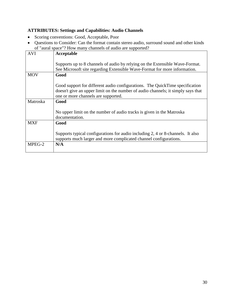#### <span id="page-29-0"></span>**ATTRIBUTES: Settings and Capabilities: Audio Channels**

- Scoring conventions: Good, Acceptable, Poor
- Questions to Consider: Can the format contain stereo audio, surround sound and other kinds of "aural space"? How many channels of audio are supported?

| <b>AVI</b> | Acceptable                                                                       |
|------------|----------------------------------------------------------------------------------|
|            |                                                                                  |
|            | Supports up to 8 channels of audio by relying on the Extensible Wave-Format.     |
|            |                                                                                  |
|            | See Microsoft site regarding Extensible Wave-Format for more information.        |
| <b>MOV</b> | Good                                                                             |
|            |                                                                                  |
|            | Good support for different audio configurations. The QuickTime specification     |
|            | doesn't give an upper limit on the number of audio channels; it simply says that |
|            | one or more channels are supported.                                              |
|            |                                                                                  |
| Matroska   | Good                                                                             |
|            |                                                                                  |
|            | No upper limit on the number of audio tracks is given in the Matroska            |
|            | documentation.                                                                   |
| <b>MXF</b> | Good                                                                             |
|            |                                                                                  |
|            | Supports typical configurations for audio including 2, 4 or 8-channels. It also  |
|            |                                                                                  |
|            | supports much larger and more complicated channel configurations.                |
| MPEG-2     | N/A                                                                              |
|            |                                                                                  |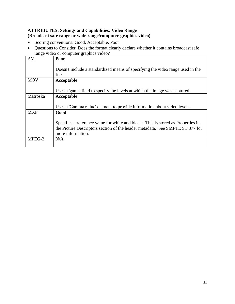#### <span id="page-30-0"></span>**ATTRIBUTES: Settings and Capabilities: Video Range (Broadcast safe range or wide range/computer-graphics video)**

- Scoring conventions: Good, Acceptable, Poor
- Questions to Consider: Does the format clearly declare whether it contains broadcast safe range video or computer graphics video?

| <b>AVI</b> | Poor                                                                             |
|------------|----------------------------------------------------------------------------------|
|            |                                                                                  |
|            | Doesn't include a standardized means of specifying the video range used in the   |
|            | file.                                                                            |
| <b>MOV</b> | Acceptable                                                                       |
|            |                                                                                  |
|            | Uses a 'gama' field to specify the levels at which the image was captured.       |
| Matroska   | Acceptable                                                                       |
|            |                                                                                  |
|            | Uses a 'GammaValue' element to provide information about video levels.           |
| <b>MXF</b> | Good                                                                             |
|            |                                                                                  |
|            | Specifies a reference value for white and black. This is stored as Properties in |
|            | the Picture Descriptors section of the header metadata. See SMPTE ST 377 for     |
|            | more information.                                                                |
| MPEG-2     | N/A                                                                              |
|            |                                                                                  |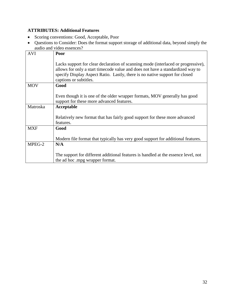#### <span id="page-31-0"></span>**ATTRIBUTES: Additional Features**

- Scoring conventions: Good, Acceptable, Poor
- Questions to Consider: Does the format support storage of additional data, beyond simply the audio and video essences?

| <b>AVI</b> | Poor                                                                                                                                                                                                                                                                         |
|------------|------------------------------------------------------------------------------------------------------------------------------------------------------------------------------------------------------------------------------------------------------------------------------|
|            | Lacks support for clear declaration of scanning mode (interlaced or progressive),<br>allows for only a start timecode value and does not have a standardized way to<br>specify Display Aspect Ratio. Lastly, there is no native support for closed<br>captions or subtitles. |
| <b>MOV</b> | Good                                                                                                                                                                                                                                                                         |
|            | Even though it is one of the older wrapper formats, MOV generally has good<br>support for these more advanced features.                                                                                                                                                      |
| Matroska   | Acceptable                                                                                                                                                                                                                                                                   |
|            | Relatively new format that has fairly good support for these more advanced<br>features.                                                                                                                                                                                      |
| <b>MXF</b> | Good                                                                                                                                                                                                                                                                         |
|            | Modern file format that typically has very good support for additional features.                                                                                                                                                                                             |
| MPEG-2     | N/A                                                                                                                                                                                                                                                                          |
|            | The support for different additional features is handled at the essence level, not<br>the ad hoc .mpg wrapper format.                                                                                                                                                        |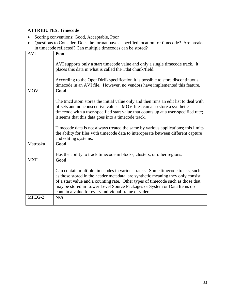### <span id="page-32-0"></span>**ATTRIBUTES: Timecode**

- Scoring conventions: Good, Acceptable, Poor
- Questions to Consider: Does the format have a specified location for timecode? Are breaks in timecode reflected? Can multiple timecodes can be stored?

|            | in uniccode reflected: Can inditiple uniccodes can be stored:                                                                                                                                                                                                                                                                                                                          |
|------------|----------------------------------------------------------------------------------------------------------------------------------------------------------------------------------------------------------------------------------------------------------------------------------------------------------------------------------------------------------------------------------------|
| <b>AVI</b> | Poor                                                                                                                                                                                                                                                                                                                                                                                   |
|            | AVI supports only a start timecode value and only a single timecode track. It<br>places this data in what is called the Tdat chunk/field.                                                                                                                                                                                                                                              |
|            | According to the OpenDML specification it is possible to store discontinuous<br>timecode in an AVI file. However, no vendors have implemented this feature.                                                                                                                                                                                                                            |
| <b>MOV</b> | Good                                                                                                                                                                                                                                                                                                                                                                                   |
|            | The tmcd atom stores the initial value only and then runs an edit list to deal with<br>offsets and nonconsecutive values. MOV files can also store a synthetic<br>timecode with a user-specified start value that counts up at a user-specified rate;<br>it seems that this data goes into a timecode track.                                                                           |
|            | Timecode data is not always treated the same by various applications; this limits<br>the ability for files with timecode data to interoperate between different capture<br>and editing systems.                                                                                                                                                                                        |
| Matroska   | Good                                                                                                                                                                                                                                                                                                                                                                                   |
|            | Has the ability to track timecode in blocks, clusters, or other regions.                                                                                                                                                                                                                                                                                                               |
| <b>MXF</b> | Good                                                                                                                                                                                                                                                                                                                                                                                   |
|            | Can contain multiple timecodes in various tracks. Some timecode tracks, such<br>as those stored in the header metadata, are synthetic meaning they only consist<br>of a start value and a counting rate. Other types of timecode such as those that<br>may be stored in Lower Level Source Packages or System or Data Items do<br>contain a value for every individual frame of video. |
| MPEG-2     | N/A                                                                                                                                                                                                                                                                                                                                                                                    |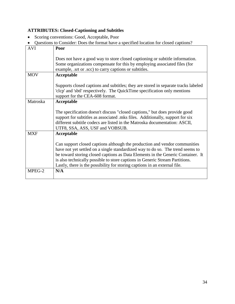#### <span id="page-33-0"></span>**ATTRIBUTES: Closed-Captioning and Subtitles**

- Scoring conventions: Good, Acceptable, Poor
- Questions to Consider: Does the format have a specified location for closed captions?

| <b>AVI</b> | Poor                                                                                                                                                       |
|------------|------------------------------------------------------------------------------------------------------------------------------------------------------------|
|            | Does not have a good way to store closed captioning or subtitle information.                                                                               |
|            | Some organizations compensate for this by employing associated files (for                                                                                  |
|            | example, srt or scc) to carry captions or subtitles.                                                                                                       |
| <b>MOV</b> | Acceptable                                                                                                                                                 |
|            | Supports closed captions and subtitles; they are stored in separate tracks labeled                                                                         |
|            | 'clcp' and 'sbtl' respectively. The QuickTime specification only mentions                                                                                  |
|            | support for the CEA-608 format.                                                                                                                            |
| Matroska   | Acceptable                                                                                                                                                 |
|            |                                                                                                                                                            |
|            | The specification doesn't discuss "closed captions," but does provide good                                                                                 |
|            | support for subtitles as associated mks files. Additionally, support for six<br>different subtitle codecs are listed in the Matroska documentation: ASCII, |
|            | UTF8, SSA, ASS, USF and VOBSUB.                                                                                                                            |
| <b>MXF</b> | Acceptable                                                                                                                                                 |
|            | Can support closed captions although the production and vendor communities                                                                                 |
|            | have not yet settled on a single standardized way to do so. The trend seems to                                                                             |
|            | be toward storing closed captions as Data Elements in the Generic Container. It                                                                            |
|            | is also technically possible to store captions in Generic Stream Partitions.                                                                               |
|            | Lastly, there is the possibility for storing captions in an external file.                                                                                 |
| MPEG-2     | N/A                                                                                                                                                        |
|            |                                                                                                                                                            |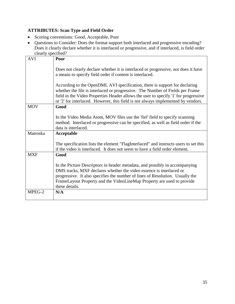#### <span id="page-34-0"></span>**ATTRIBUTES: Scan Type and Field Order**

- Scoring conventions: Good, Acceptable, Poor
- Questions to Consider: Does the format support both interlaced and progressive encoding? Does it clearly declare whether it is interlaced or progressive, and if interlaced, is field order clearly specified?

|            | $\alpha$                                                                                                                                                                                                                                                                                                                                                                                                                                                                                 |
|------------|------------------------------------------------------------------------------------------------------------------------------------------------------------------------------------------------------------------------------------------------------------------------------------------------------------------------------------------------------------------------------------------------------------------------------------------------------------------------------------------|
| <b>AVI</b> | Poor                                                                                                                                                                                                                                                                                                                                                                                                                                                                                     |
|            | Does not clearly declare whether it is interlaced or progressive, nor does it have<br>a means to specify field order if content is interlaced.<br>According to the OpenDML AVI specification, there is support for declaring<br>whether the file is interlaced or progressive. The Number of Fields per Frame<br>field in the Video Properties Header allows the user to specify '1' for progressive<br>or '2' for interlaced. However, this field is not always implemented by vendors. |
| <b>MOV</b> | Good                                                                                                                                                                                                                                                                                                                                                                                                                                                                                     |
|            |                                                                                                                                                                                                                                                                                                                                                                                                                                                                                          |
|            | In the Video Media Atom, MOV files use the 'fiel' field to specify scanning<br>method. Interlaced or progressive can be specified, as well as field order if the<br>data is interlaced.                                                                                                                                                                                                                                                                                                  |
| Matroska   | Acceptable                                                                                                                                                                                                                                                                                                                                                                                                                                                                               |
|            | The specification lists the element "FlagInterlaced" and instructs users to set this<br>if the video is interlaced. It does not seem to have a field order element.                                                                                                                                                                                                                                                                                                                      |
| <b>MXF</b> | Good                                                                                                                                                                                                                                                                                                                                                                                                                                                                                     |
|            | In the Picture Descriptors in header metadata, and possibly in accompanying<br>DMS tracks, MXF declares whether the video essence is interlaced or<br>progressive. It also specifies the number of lines of Resolution. Usually the<br>FrameLayout Property and the VideoLineMap Property are used to provide<br>these details.                                                                                                                                                          |
| MPEG-2     | N/A                                                                                                                                                                                                                                                                                                                                                                                                                                                                                      |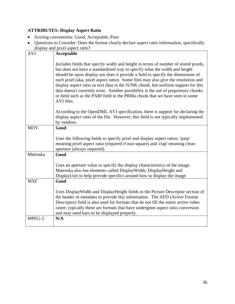#### <span id="page-35-0"></span>**ATTRIBUTES: Display Aspect Ratio**

- Scoring conventions: Good, Acceptable, Poor
- Questions to Consider: Does the format clearly declare aspect ratio information, specifically display and pixel aspect ratio?

|            | alspiay and pixel aspect ratio?                                                                                                                                                                                                                                                                                                                                                                                                                                                                                                                                                                                 |
|------------|-----------------------------------------------------------------------------------------------------------------------------------------------------------------------------------------------------------------------------------------------------------------------------------------------------------------------------------------------------------------------------------------------------------------------------------------------------------------------------------------------------------------------------------------------------------------------------------------------------------------|
| <b>AVI</b> | <b>Acceptable</b>                                                                                                                                                                                                                                                                                                                                                                                                                                                                                                                                                                                               |
|            |                                                                                                                                                                                                                                                                                                                                                                                                                                                                                                                                                                                                                 |
|            | Includes fields that specify width and height in terms of number of stored pixels,<br>but does not have a standardized way to specify what the width and height<br>should be upon display nor does it provide a field to specify the dimensions of<br>each pixel (aka, pixel aspect ratio). Some files may also give the resolution and<br>display aspect ratio as text data in the JUNK chunk, but uniform support for this<br>data doesn't currently exist. Another possibility is the use of proprietary chunks<br>or field such as the PARf field in the PRMa chunk that we have seen in some<br>AVI files. |
|            | According to the OpenDML AVI specification, there is support for declaring the<br>display aspect ratio of the file. However, this field is not typically implemented<br>by vendors.                                                                                                                                                                                                                                                                                                                                                                                                                             |
| <b>MOV</b> | Good                                                                                                                                                                                                                                                                                                                                                                                                                                                                                                                                                                                                            |
|            | Uses the following fields to specify pixel and display aspect ratios: 'pasp'<br>meaning pixel aspect ratio (required if non-square) and 'clap' meaning clean<br>aperture (always required).                                                                                                                                                                                                                                                                                                                                                                                                                     |
| Matroska   | Good                                                                                                                                                                                                                                                                                                                                                                                                                                                                                                                                                                                                            |
|            | Uses an aperture value to specify the display characteristics of the image.<br>Matroska also has elements called DisplayWidth, DisplayHeight and<br>DisplayUnit to help provide specifics around how to display the image.                                                                                                                                                                                                                                                                                                                                                                                      |
| <b>MXF</b> | Good                                                                                                                                                                                                                                                                                                                                                                                                                                                                                                                                                                                                            |
|            | Uses DisplayWidth and DisplayHeight fields in the Picture Descriptor section of<br>the header m metadata to provide this information. The AFD (Active Format<br>Descriptor) field is also used for formats that do not fill the entire active video<br>raster; typically these are formats that have undergone aspect ratio conversion<br>and may need bars to be displayed properly.                                                                                                                                                                                                                           |
| MPEG-2     | N/A                                                                                                                                                                                                                                                                                                                                                                                                                                                                                                                                                                                                             |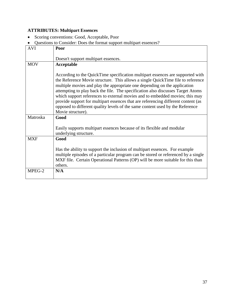# <span id="page-36-0"></span>**ATTRIBUTES: Multipart Essences**

- Scoring conventions: Good, Acceptable, Poor
- Questions to Consider: Does the format support multipart essences?

| <b>AVI</b> |                                                                                   |
|------------|-----------------------------------------------------------------------------------|
|            | Poor                                                                              |
|            |                                                                                   |
|            | Doesn't support multipart essences.                                               |
| <b>MOV</b> | Acceptable                                                                        |
|            |                                                                                   |
|            |                                                                                   |
|            | According to the QuickTime specification multipart essences are supported with    |
|            | the Reference Movie structure. This allows a single QuickTime file to reference   |
|            | multiple movies and play the appropriate one depending on the application         |
|            | attempting to play back the file. The specification also discusses Target Atoms   |
|            | which support references to external movies and to embedded movies; this may      |
|            | provide support for multipart essences that are referencing different content (as |
|            | opposed to different quality levels of the same content used by the Reference     |
|            |                                                                                   |
|            | Movie structure).                                                                 |
| Matroska   | Good                                                                              |
|            |                                                                                   |
|            | Easily supports multipart essences because of its flexible and modular            |
|            | underlying structure.                                                             |
| <b>MXF</b> | Good                                                                              |
|            |                                                                                   |
|            |                                                                                   |
|            | Has the ability to support the inclusion of multipart essences. For example       |
|            | multiple episodes of a particular program can be stored or referenced by a single |
|            | MXF file. Certain Operational Patterns (OP) will be more suitable for this than   |
|            | others.                                                                           |
| MPEG-2     | N/A                                                                               |
|            |                                                                                   |
|            |                                                                                   |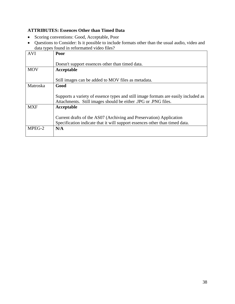#### <span id="page-37-0"></span>**ATTRIBUTES: Essences Other than Timed Data**

- Scoring conventions: Good, Acceptable, Poor
- Questions to Consider: Is it possible to include formats other than the usual audio, video and data types found in reformatted video files?

| <b>AVI</b> |                                                                                    |
|------------|------------------------------------------------------------------------------------|
|            | Poor                                                                               |
|            |                                                                                    |
|            | Doesn't support essences other than timed data.                                    |
| <b>MOV</b> | Acceptable                                                                         |
|            |                                                                                    |
|            |                                                                                    |
|            | Still images can be added to MOV files as metadata.                                |
| Matroska   | Good                                                                               |
|            |                                                                                    |
|            |                                                                                    |
|            | Supports a variety of essence types and still image formats are easily included as |
|            | Attachments. Still images should be either .JPG or .PNG files.                     |
| <b>MXF</b> | Acceptable                                                                         |
|            |                                                                                    |
|            |                                                                                    |
|            | Current drafts of the AS07 (Archiving and Preservation) Application                |
|            | Specification indicate that it will support essences other than timed data.        |
| MPEG-2     | N/A                                                                                |
|            |                                                                                    |
|            |                                                                                    |